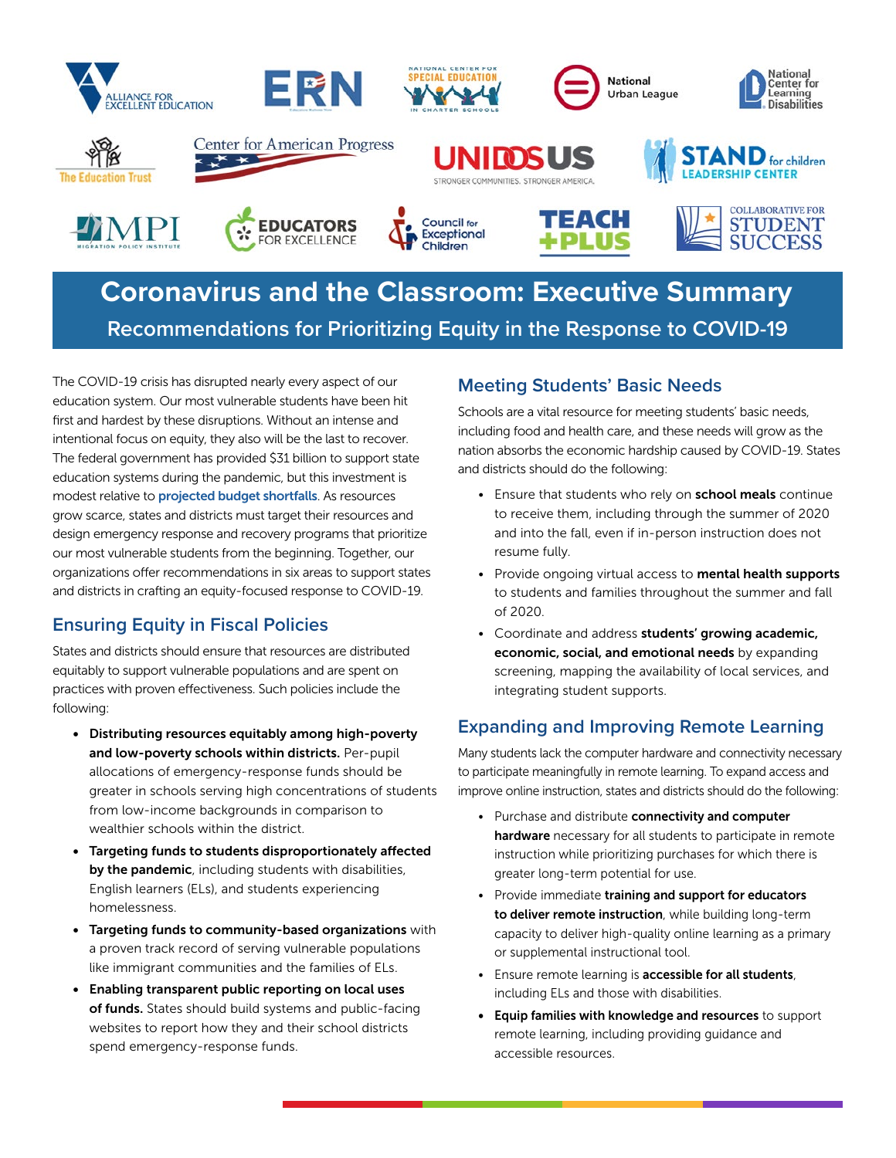

# **Coronavirus and the Classroom: Executive Summary Recommendations for Prioritizing Equity in the Response to COVID-19**

The COVID-19 crisis has disrupted nearly every aspect of our education system. Our most vulnerable students have been hit first and hardest by these disruptions. Without an intense and intentional focus on equity, they also will be the last to recover. The federal government has provided \$31 billion to support state education systems during the pandemic, but this investment is modest relative to **[projected budget shortfalls](https://www.cbpp.org/blog/new-cbo-projections-suggest-even-bigger-state-shortfalls)**. As resources grow scarce, states and districts must target their resources and design emergency response and recovery programs that prioritize our most vulnerable students from the beginning. Together, our organizations offer recommendations in six areas to support states and districts in crafting an equity-focused response to COVID-19.

# **Ensuring Equity in Fiscal Policies**

States and districts should ensure that resources are distributed equitably to support vulnerable populations and are spent on practices with proven effectiveness. Such policies include the following:

- Distributing resources equitably among high-poverty and low-poverty schools within districts. Per-pupil allocations of emergency-response funds should be greater in schools serving high concentrations of students from low-income backgrounds in comparison to wealthier schools within the district.
- Targeting funds to students disproportionately affected by the pandemic, including students with disabilities, English learners (ELs), and students experiencing homelessness.
- Targeting funds to community-based organizations with a proven track record of serving vulnerable populations like immigrant communities and the families of ELs.
- Enabling transparent public reporting on local uses of funds. States should build systems and public-facing websites to report how they and their school districts spend emergency-response funds.

# **Meeting Students' Basic Needs**

Schools are a vital resource for meeting students' basic needs, including food and health care, and these needs will grow as the nation absorbs the economic hardship caused by COVID-19. States and districts should do the following:

- Ensure that students who rely on **school meals** continue to receive them, including through the summer of 2020 and into the fall, even if in-person instruction does not resume fully.
- Provide ongoing virtual access to mental health supports to students and families throughout the summer and fall of 2020.
- Coordinate and address students' growing academic, economic, social, and emotional needs by expanding screening, mapping the availability of local services, and integrating student supports.

#### **Expanding and Improving Remote Learning**

Many students lack the computer hardware and connectivity necessary to participate meaningfully in remote learning. To expand access and improve online instruction, states and districts should do the following:

- Purchase and distribute connectivity and computer hardware necessary for all students to participate in remote instruction while prioritizing purchases for which there is greater long-term potential for use.
- Provide immediate training and support for educators to deliver remote instruction, while building long-term capacity to deliver high-quality online learning as a primary or supplemental instructional tool.
- Ensure remote learning is accessible for all students, including ELs and those with disabilities.
- Equip families with knowledge and resources to support remote learning, including providing guidance and accessible resources.